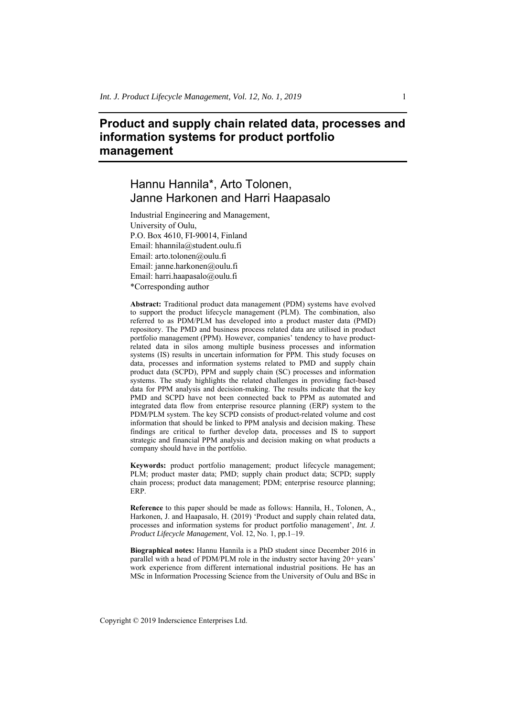# **Product and supply chain related data, processes and information systems for product portfolio management**

# Hannu Hannila\*, Arto Tolonen, Janne Harkonen and Harri Haapasalo

Industrial Engineering and Management, University of Oulu, P.O. Box 4610, FI-90014, Finland Email: hhannila@student.oulu.fi Email: arto.tolonen@oulu.fi Email: janne.harkonen@oulu.fi Email: harri.haapasalo@oulu.fi \*Corresponding author

**Abstract:** Traditional product data management (PDM) systems have evolved to support the product lifecycle management (PLM). The combination, also referred to as PDM/PLM has developed into a product master data (PMD) repository. The PMD and business process related data are utilised in product portfolio management (PPM). However, companies' tendency to have productrelated data in silos among multiple business processes and information systems (IS) results in uncertain information for PPM. This study focuses on data, processes and information systems related to PMD and supply chain product data (SCPD), PPM and supply chain (SC) processes and information systems. The study highlights the related challenges in providing fact-based data for PPM analysis and decision-making. The results indicate that the key PMD and SCPD have not been connected back to PPM as automated and integrated data flow from enterprise resource planning (ERP) system to the PDM/PLM system. The key SCPD consists of product-related volume and cost information that should be linked to PPM analysis and decision making. These findings are critical to further develop data, processes and IS to support strategic and financial PPM analysis and decision making on what products a company should have in the portfolio.

**Keywords:** product portfolio management; product lifecycle management; PLM; product master data; PMD; supply chain product data; SCPD; supply chain process; product data management; PDM; enterprise resource planning; ERP.

**Reference** to this paper should be made as follows: Hannila, H., Tolonen, A., Harkonen, J. and Haapasalo, H. (2019) 'Product and supply chain related data, processes and information systems for product portfolio management', *Int. J. Product Lifecycle Management*, Vol. 12, No. 1, pp.1–19.

**Biographical notes:** Hannu Hannila is a PhD student since December 2016 in parallel with a head of PDM/PLM role in the industry sector having 20+ years' work experience from different international industrial positions. He has an MSc in Information Processing Science from the University of Oulu and BSc in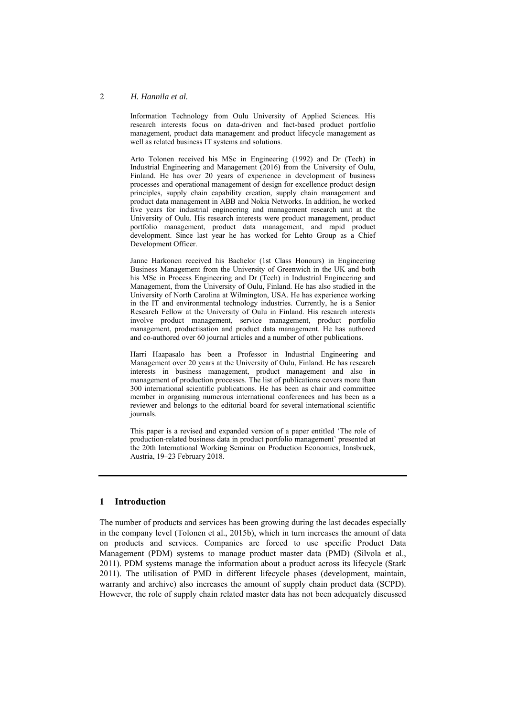#### 2 *H. Hannila et al.*

Information Technology from Oulu University of Applied Sciences. His research interests focus on data-driven and fact-based product portfolio management, product data management and product lifecycle management as well as related business IT systems and solutions.

Arto Tolonen received his MSc in Engineering (1992) and Dr (Tech) in Industrial Engineering and Management (2016) from the University of Oulu, Finland. He has over 20 years of experience in development of business processes and operational management of design for excellence product design principles, supply chain capability creation, supply chain management and product data management in ABB and Nokia Networks. In addition, he worked five years for industrial engineering and management research unit at the University of Oulu. His research interests were product management, product portfolio management, product data management, and rapid product development. Since last year he has worked for Lehto Group as a Chief Development Officer.

Janne Harkonen received his Bachelor (1st Class Honours) in Engineering Business Management from the University of Greenwich in the UK and both his MSc in Process Engineering and Dr (Tech) in Industrial Engineering and Management, from the University of Oulu, Finland. He has also studied in the University of North Carolina at Wilmington, USA. He has experience working in the IT and environmental technology industries. Currently, he is a Senior Research Fellow at the University of Oulu in Finland. His research interests involve product management, service management, product portfolio management, productisation and product data management. He has authored and co-authored over 60 journal articles and a number of other publications.

Harri Haapasalo has been a Professor in Industrial Engineering and Management over 20 years at the University of Oulu, Finland. He has research interests in business management, product management and also in management of production processes. The list of publications covers more than 300 international scientific publications. He has been as chair and committee member in organising numerous international conferences and has been as a reviewer and belongs to the editorial board for several international scientific journals.

This paper is a revised and expanded version of a paper entitled 'The role of production-related business data in product portfolio management' presented at the 20th International Working Seminar on Production Economics, Innsbruck, Austria, 19–23 February 2018.

## **1 Introduction**

The number of products and services has been growing during the last decades especially in the company level (Tolonen et al., 2015b), which in turn increases the amount of data on products and services. Companies are forced to use specific Product Data Management (PDM) systems to manage product master data (PMD) (Silvola et al., 2011). PDM systems manage the information about a product across its lifecycle (Stark 2011). The utilisation of PMD in different lifecycle phases (development, maintain, warranty and archive) also increases the amount of supply chain product data (SCPD). However, the role of supply chain related master data has not been adequately discussed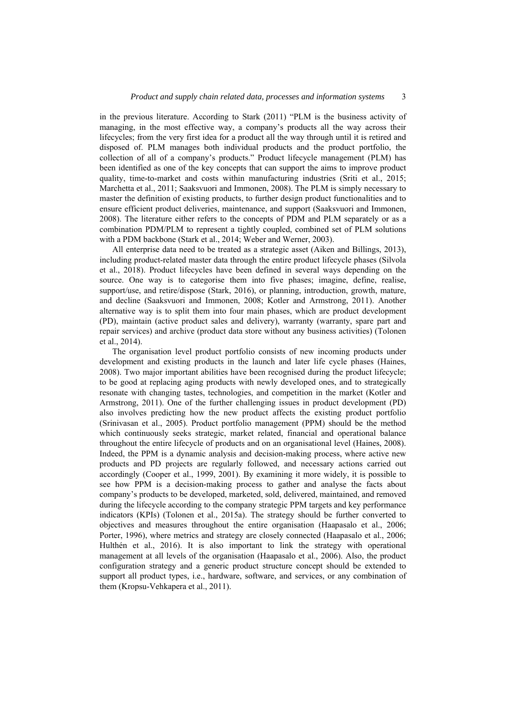in the previous literature. According to Stark (2011) "PLM is the business activity of managing, in the most effective way, a company's products all the way across their lifecycles; from the very first idea for a product all the way through until it is retired and disposed of. PLM manages both individual products and the product portfolio, the collection of all of a company's products." Product lifecycle management (PLM) has been identified as one of the key concepts that can support the aims to improve product quality, time-to-market and costs within manufacturing industries (Sriti et al., 2015; Marchetta et al., 2011; Saaksvuori and Immonen, 2008). The PLM is simply necessary to master the definition of existing products, to further design product functionalities and to ensure efficient product deliveries, maintenance, and support (Saaksvuori and Immonen, 2008). The literature either refers to the concepts of PDM and PLM separately or as a combination PDM/PLM to represent a tightly coupled, combined set of PLM solutions with a PDM backbone (Stark et al., 2014; Weber and Werner, 2003).

All enterprise data need to be treated as a strategic asset (Aiken and Billings, 2013), including product-related master data through the entire product lifecycle phases (Silvola et al., 2018). Product lifecycles have been defined in several ways depending on the source. One way is to categorise them into five phases; imagine, define, realise, support/use, and retire/dispose (Stark, 2016), or planning, introduction, growth, mature, and decline (Saaksvuori and Immonen, 2008; Kotler and Armstrong, 2011). Another alternative way is to split them into four main phases, which are product development (PD), maintain (active product sales and delivery), warranty (warranty, spare part and repair services) and archive (product data store without any business activities) (Tolonen et al., 2014).

The organisation level product portfolio consists of new incoming products under development and existing products in the launch and later life cycle phases (Haines, 2008). Two major important abilities have been recognised during the product lifecycle; to be good at replacing aging products with newly developed ones, and to strategically resonate with changing tastes, technologies, and competition in the market (Kotler and Armstrong, 2011). One of the further challenging issues in product development (PD) also involves predicting how the new product affects the existing product portfolio (Srinivasan et al., 2005). Product portfolio management (PPM) should be the method which continuously seeks strategic, market related, financial and operational balance throughout the entire lifecycle of products and on an organisational level (Haines, 2008). Indeed, the PPM is a dynamic analysis and decision-making process, where active new products and PD projects are regularly followed, and necessary actions carried out accordingly (Cooper et al., 1999, 2001). By examining it more widely, it is possible to see how PPM is a decision-making process to gather and analyse the facts about company's products to be developed, marketed, sold, delivered, maintained, and removed during the lifecycle according to the company strategic PPM targets and key performance indicators (KPIs) (Tolonen et al., 2015a). The strategy should be further converted to objectives and measures throughout the entire organisation (Haapasalo et al., 2006; Porter, 1996), where metrics and strategy are closely connected (Haapasalo et al., 2006; Hulthén et al., 2016). It is also important to link the strategy with operational management at all levels of the organisation (Haapasalo et al., 2006). Also, the product configuration strategy and a generic product structure concept should be extended to support all product types, i.e., hardware, software, and services, or any combination of them (Kropsu-Vehkapera et al., 2011).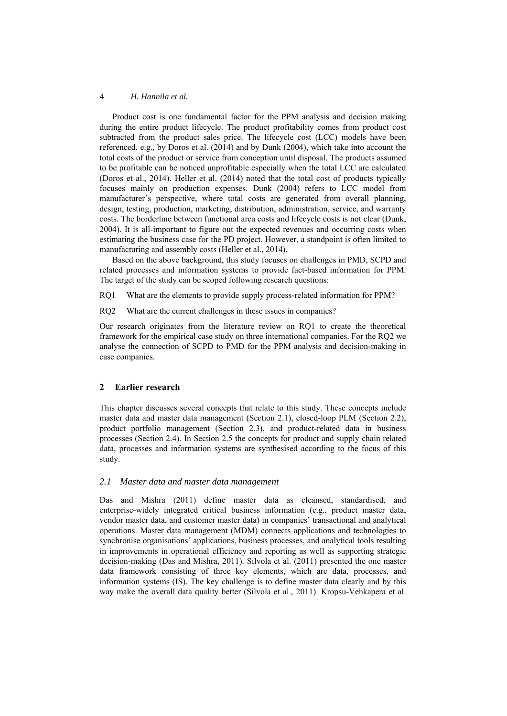Product cost is one fundamental factor for the PPM analysis and decision making during the entire product lifecycle. The product profitability comes from product cost subtracted from the product sales price. The lifecycle cost (LCC) models have been referenced, e.g., by Doros et al. (2014) and by Dunk (2004), which take into account the total costs of the product or service from conception until disposal. The products assumed to be profitable can be noticed unprofitable especially when the total LCC are calculated (Doros et al., 2014). Heller et al. (2014) noted that the total cost of products typically focuses mainly on production expenses. Dunk (2004) refers to LCC model from manufacturer's perspective, where total costs are generated from overall planning, design, testing, production, marketing, distribution, administration, service, and warranty costs. The borderline between functional area costs and lifecycle costs is not clear (Dunk, 2004). It is all-important to figure out the expected revenues and occurring costs when estimating the business case for the PD project. However, a standpoint is often limited to manufacturing and assembly costs (Heller et al., 2014).

Based on the above background, this study focuses on challenges in PMD, SCPD and related processes and information systems to provide fact-based information for PPM. The target of the study can be scoped following research questions:

RQ1 What are the elements to provide supply process-related information for PPM?

RQ2 What are the current challenges in these issues in companies?

Our research originates from the literature review on RQ1 to create the theoretical framework for the empirical case study on three international companies. For the RQ2 we analyse the connection of SCPD to PMD for the PPM analysis and decision-making in case companies.

## **2 Earlier research**

This chapter discusses several concepts that relate to this study. These concepts include master data and master data management (Section 2.1), closed-loop PLM (Section 2.2), product portfolio management (Section 2.3), and product-related data in business processes (Section 2.4). In Section 2.5 the concepts for product and supply chain related data, processes and information systems are synthesised according to the focus of this study.

## *2.1 Master data and master data management*

Das and Mishra (2011) define master data as cleansed, standardised, and enterprise-widely integrated critical business information (e.g., product master data, vendor master data, and customer master data) in companies' transactional and analytical operations. Master data management (MDM) connects applications and technologies to synchronise organisations' applications, business processes, and analytical tools resulting in improvements in operational efficiency and reporting as well as supporting strategic decision-making (Das and Mishra, 2011). Silvola et al. (2011) presented the one master data framework consisting of three key elements, which are data, processes, and information systems (IS). The key challenge is to define master data clearly and by this way make the overall data quality better (Silvola et al., 2011). Kropsu-Vehkapera et al.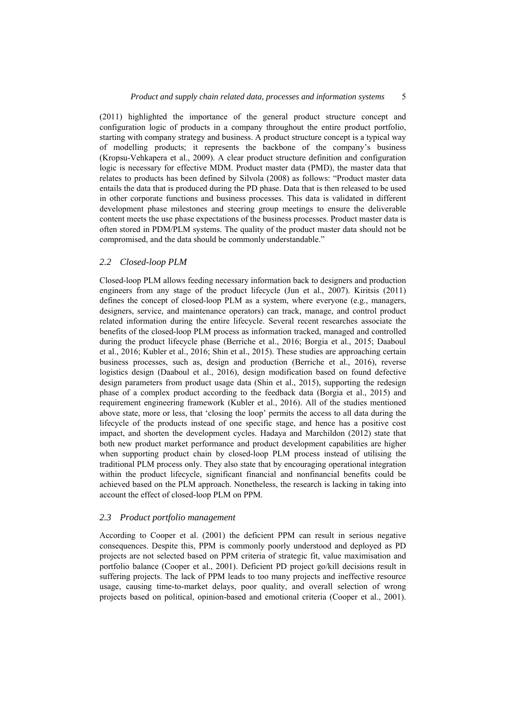(2011) highlighted the importance of the general product structure concept and configuration logic of products in a company throughout the entire product portfolio, starting with company strategy and business. A product structure concept is a typical way of modelling products; it represents the backbone of the company's business (Kropsu-Vehkapera et al., 2009). A clear product structure definition and configuration logic is necessary for effective MDM. Product master data (PMD), the master data that relates to products has been defined by Silvola (2008) as follows: "Product master data entails the data that is produced during the PD phase. Data that is then released to be used in other corporate functions and business processes. This data is validated in different development phase milestones and steering group meetings to ensure the deliverable content meets the use phase expectations of the business processes. Product master data is often stored in PDM/PLM systems. The quality of the product master data should not be compromised, and the data should be commonly understandable."

## *2.2 Closed-loop PLM*

Closed-loop PLM allows feeding necessary information back to designers and production engineers from any stage of the product lifecycle (Jun et al., 2007). Kiritsis (2011) defines the concept of closed-loop PLM as a system, where everyone (e.g., managers, designers, service, and maintenance operators) can track, manage, and control product related information during the entire lifecycle. Several recent researches associate the benefits of the closed-loop PLM process as information tracked, managed and controlled during the product lifecycle phase (Berriche et al., 2016; Borgia et al., 2015; Daaboul et al., 2016; Kubler et al., 2016; Shin et al., 2015). These studies are approaching certain business processes, such as, design and production (Berriche et al., 2016), reverse logistics design (Daaboul et al., 2016), design modification based on found defective design parameters from product usage data (Shin et al., 2015), supporting the redesign phase of a complex product according to the feedback data (Borgia et al., 2015) and requirement engineering framework (Kubler et al., 2016). All of the studies mentioned above state, more or less, that 'closing the loop' permits the access to all data during the lifecycle of the products instead of one specific stage, and hence has a positive cost impact, and shorten the development cycles. Hadaya and Marchildon (2012) state that both new product market performance and product development capabilities are higher when supporting product chain by closed-loop PLM process instead of utilising the traditional PLM process only. They also state that by encouraging operational integration within the product lifecycle, significant financial and nonfinancial benefits could be achieved based on the PLM approach. Nonetheless, the research is lacking in taking into account the effect of closed-loop PLM on PPM.

## *2.3 Product portfolio management*

According to Cooper et al. (2001) the deficient PPM can result in serious negative consequences. Despite this, PPM is commonly poorly understood and deployed as PD projects are not selected based on PPM criteria of strategic fit, value maximisation and portfolio balance (Cooper et al., 2001). Deficient PD project go/kill decisions result in suffering projects. The lack of PPM leads to too many projects and ineffective resource usage, causing time-to-market delays, poor quality, and overall selection of wrong projects based on political, opinion-based and emotional criteria (Cooper et al., 2001).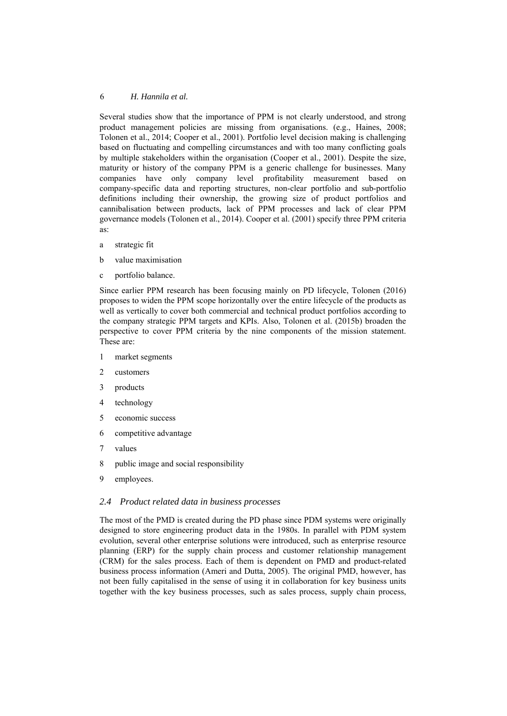Several studies show that the importance of PPM is not clearly understood, and strong product management policies are missing from organisations. (e.g., Haines, 2008; Tolonen et al., 2014; Cooper et al., 2001). Portfolio level decision making is challenging based on fluctuating and compelling circumstances and with too many conflicting goals by multiple stakeholders within the organisation (Cooper et al., 2001). Despite the size, maturity or history of the company PPM is a generic challenge for businesses. Many companies have only company level profitability measurement based on company-specific data and reporting structures, non-clear portfolio and sub-portfolio definitions including their ownership, the growing size of product portfolios and cannibalisation between products, lack of PPM processes and lack of clear PPM governance models (Tolonen et al., 2014). Cooper et al. (2001) specify three PPM criteria as:

- a strategic fit
- b value maximisation
- c portfolio balance.

Since earlier PPM research has been focusing mainly on PD lifecycle, Tolonen (2016) proposes to widen the PPM scope horizontally over the entire lifecycle of the products as well as vertically to cover both commercial and technical product portfolios according to the company strategic PPM targets and KPIs. Also, Tolonen et al. (2015b) broaden the perspective to cover PPM criteria by the nine components of the mission statement. These are:

- 1 market segments
- 2 customers
- 3 products
- 4 technology
- 5 economic success
- 6 competitive advantage
- 7 values
- 8 public image and social responsibility
- 9 employees.

# *2.4 Product related data in business processes*

The most of the PMD is created during the PD phase since PDM systems were originally designed to store engineering product data in the 1980s. In parallel with PDM system evolution, several other enterprise solutions were introduced, such as enterprise resource planning (ERP) for the supply chain process and customer relationship management (CRM) for the sales process. Each of them is dependent on PMD and product-related business process information (Ameri and Dutta, 2005). The original PMD, however, has not been fully capitalised in the sense of using it in collaboration for key business units together with the key business processes, such as sales process, supply chain process,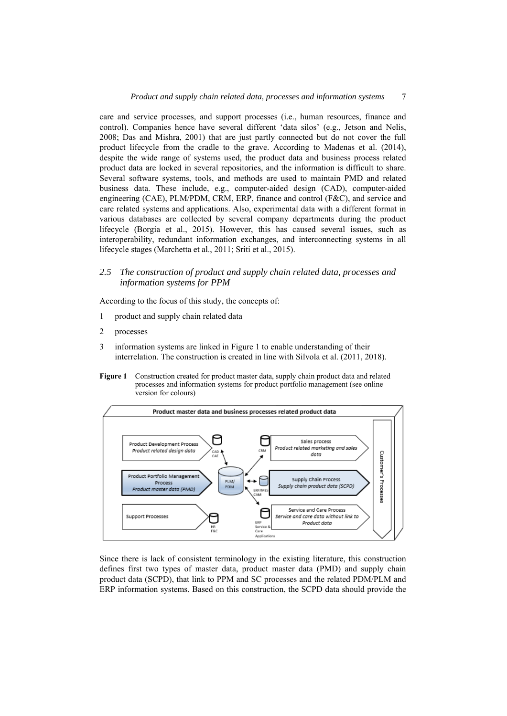care and service processes, and support processes (i.e., human resources, finance and control). Companies hence have several different 'data silos' (e.g., Jetson and Nelis, 2008; Das and Mishra, 2001) that are just partly connected but do not cover the full product lifecycle from the cradle to the grave. According to Madenas et al. (2014), despite the wide range of systems used, the product data and business process related product data are locked in several repositories, and the information is difficult to share. Several software systems, tools, and methods are used to maintain PMD and related business data. These include, e.g., computer-aided design (CAD), computer-aided engineering (CAE), PLM/PDM, CRM, ERP, finance and control (F&C), and service and care related systems and applications. Also, experimental data with a different format in various databases are collected by several company departments during the product lifecycle (Borgia et al., 2015). However, this has caused several issues, such as interoperability, redundant information exchanges, and interconnecting systems in all lifecycle stages (Marchetta et al., 2011; Sriti et al., 2015).

## *2.5 The construction of product and supply chain related data, processes and information systems for PPM*

According to the focus of this study, the concepts of:

- 1 product and supply chain related data
- 2 processes
- 3 information systems are linked in Figure 1 to enable understanding of their interrelation. The construction is created in line with Silvola et al. (2011, 2018).
- **Figure 1** Construction created for product master data, supply chain product data and related processes and information systems for product portfolio management (see online version for colours)



Since there is lack of consistent terminology in the existing literature, this construction defines first two types of master data, product master data (PMD) and supply chain product data (SCPD), that link to PPM and SC processes and the related PDM/PLM and ERP information systems. Based on this construction, the SCPD data should provide the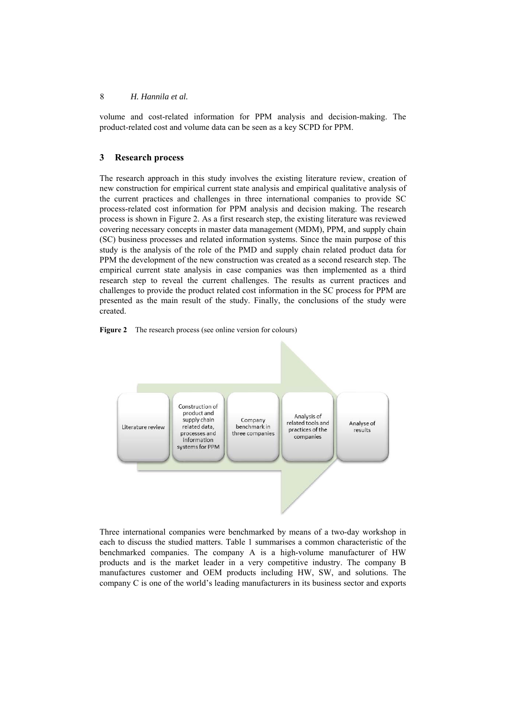volume and cost-related information for PPM analysis and decision-making. The product-related cost and volume data can be seen as a key SCPD for PPM.

## **3 Research process**

The research approach in this study involves the existing literature review, creation of new construction for empirical current state analysis and empirical qualitative analysis of the current practices and challenges in three international companies to provide SC process-related cost information for PPM analysis and decision making. The research process is shown in Figure 2. As a first research step, the existing literature was reviewed covering necessary concepts in master data management (MDM), PPM, and supply chain (SC) business processes and related information systems. Since the main purpose of this study is the analysis of the role of the PMD and supply chain related product data for PPM the development of the new construction was created as a second research step. The empirical current state analysis in case companies was then implemented as a third research step to reveal the current challenges. The results as current practices and challenges to provide the product related cost information in the SC process for PPM are presented as the main result of the study. Finally, the conclusions of the study were created.





Three international companies were benchmarked by means of a two-day workshop in each to discuss the studied matters. Table 1 summarises a common characteristic of the benchmarked companies. The company A is a high-volume manufacturer of HW products and is the market leader in a very competitive industry. The company B manufactures customer and OEM products including HW, SW, and solutions. The company C is one of the world's leading manufacturers in its business sector and exports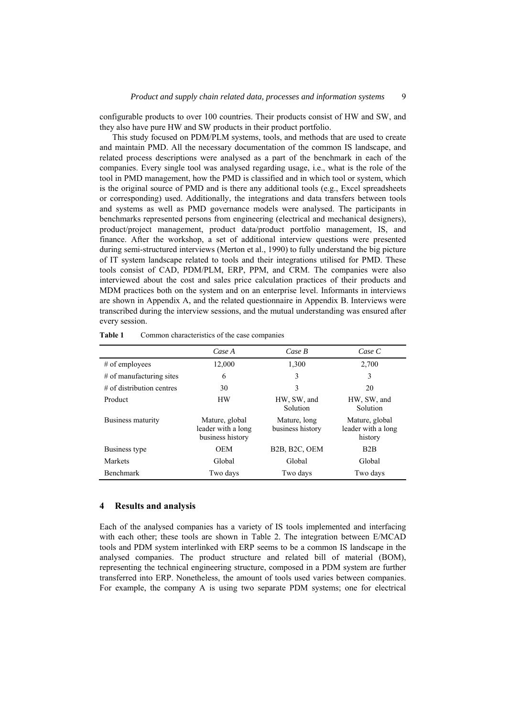configurable products to over 100 countries. Their products consist of HW and SW, and they also have pure HW and SW products in their product portfolio.

This study focused on PDM/PLM systems, tools, and methods that are used to create and maintain PMD. All the necessary documentation of the common IS landscape, and related process descriptions were analysed as a part of the benchmark in each of the companies. Every single tool was analysed regarding usage, i.e., what is the role of the tool in PMD management, how the PMD is classified and in which tool or system, which is the original source of PMD and is there any additional tools (e.g., Excel spreadsheets or corresponding) used. Additionally, the integrations and data transfers between tools and systems as well as PMD governance models were analysed. The participants in benchmarks represented persons from engineering (electrical and mechanical designers), product/project management, product data/product portfolio management, IS, and finance. After the workshop, a set of additional interview questions were presented during semi-structured interviews (Merton et al., 1990) to fully understand the big picture of IT system landscape related to tools and their integrations utilised for PMD. These tools consist of CAD, PDM/PLM, ERP, PPM, and CRM. The companies were also interviewed about the cost and sales price calculation practices of their products and MDM practices both on the system and on an enterprise level. Informants in interviews are shown in Appendix A, and the related questionnaire in Appendix B. Interviews were transcribed during the interview sessions, and the mutual understanding was ensured after every session.

|                             | Case A                                                   | Case B                                  | Case C                                          |
|-----------------------------|----------------------------------------------------------|-----------------------------------------|-------------------------------------------------|
| $#$ of employees            | 12,000                                                   | 1,300                                   | 2,700                                           |
| $#$ of manufacturing sites  | 6                                                        | 3                                       | 3                                               |
| $#$ of distribution centres | 30                                                       | 3                                       | 20                                              |
| Product                     | <b>HW</b>                                                | HW, SW, and<br>Solution                 | HW, SW, and<br><b>Solution</b>                  |
| Business maturity           | Mature, global<br>leader with a long<br>business history | Mature, long<br>business history        | Mature, global<br>leader with a long<br>history |
| Business type               | <b>OEM</b>                                               | B <sub>2</sub> B, B <sub>2</sub> C, OEM | B2B                                             |
| Markets                     | Global                                                   | Global                                  | Global                                          |
| <b>Benchmark</b>            | Two days                                                 | Two days                                | Two days                                        |

**Table 1** Common characteristics of the case companies

#### **4 Results and analysis**

Each of the analysed companies has a variety of IS tools implemented and interfacing with each other; these tools are shown in Table 2. The integration between E/MCAD tools and PDM system interlinked with ERP seems to be a common IS landscape in the analysed companies. The product structure and related bill of material (BOM), representing the technical engineering structure, composed in a PDM system are further transferred into ERP. Nonetheless, the amount of tools used varies between companies. For example, the company A is using two separate PDM systems; one for electrical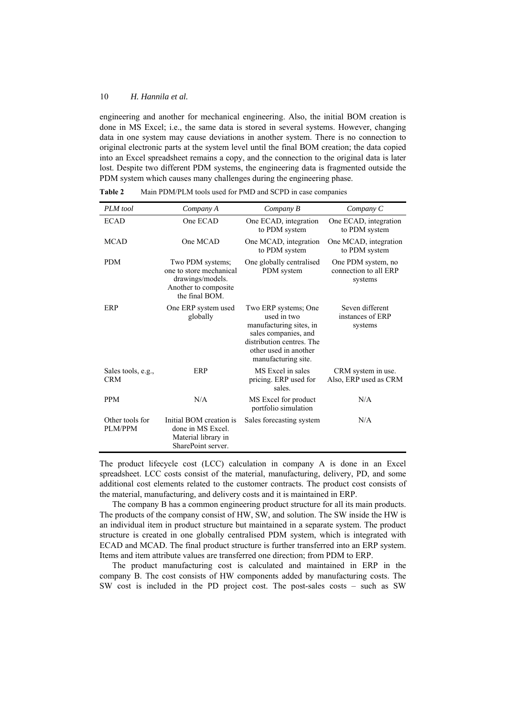engineering and another for mechanical engineering. Also, the initial BOM creation is done in MS Excel; i.e., the same data is stored in several systems. However, changing data in one system may cause deviations in another system. There is no connection to original electronic parts at the system level until the final BOM creation; the data copied into an Excel spreadsheet remains a copy, and the connection to the original data is later lost. Despite two different PDM systems, the engineering data is fragmented outside the PDM system which causes many challenges during the engineering phase.

| PLM tool                         | Company A                                                                                                 | Company B                                                                                                                                                           | Company C                                              |
|----------------------------------|-----------------------------------------------------------------------------------------------------------|---------------------------------------------------------------------------------------------------------------------------------------------------------------------|--------------------------------------------------------|
| <b>ECAD</b>                      | One ECAD                                                                                                  | One ECAD, integration<br>to PDM system                                                                                                                              | One ECAD, integration<br>to PDM system                 |
| <b>MCAD</b>                      | One MCAD                                                                                                  | One MCAD, integration<br>to PDM system                                                                                                                              | One MCAD, integration<br>to PDM system                 |
| <b>PDM</b>                       | Two PDM systems;<br>one to store mechanical<br>drawings/models.<br>Another to composite<br>the final BOM. | One globally centralised<br>PDM system                                                                                                                              | One PDM system, no<br>connection to all ERP<br>systems |
| ERP                              | One ERP system used<br>globally                                                                           | Two ERP systems; One<br>used in two<br>manufacturing sites, in<br>sales companies, and<br>distribution centres. The<br>other used in another<br>manufacturing site. | Seven different<br>instances of ERP<br>systems         |
| Sales tools, e.g.,<br><b>CRM</b> | ERP                                                                                                       | MS Excel in sales<br>pricing. ERP used for<br>sales.                                                                                                                | CRM system in use.<br>Also, ERP used as CRM            |
| <b>PPM</b>                       | N/A                                                                                                       | MS Excel for product<br>portfolio simulation                                                                                                                        | N/A                                                    |
| Other tools for<br>PLM/PPM       | Initial BOM creation is<br>done in MS Excel.<br>Material library in<br>SharePoint server.                 | Sales forecasting system                                                                                                                                            | N/A                                                    |

| <b>Table 2</b> | Main PDM/PLM tools used for PMD and SCPD in case companies |  |
|----------------|------------------------------------------------------------|--|
|                |                                                            |  |

The product lifecycle cost (LCC) calculation in company A is done in an Excel spreadsheet. LCC costs consist of the material, manufacturing, delivery, PD, and some additional cost elements related to the customer contracts. The product cost consists of the material, manufacturing, and delivery costs and it is maintained in ERP.

The company B has a common engineering product structure for all its main products. The products of the company consist of HW, SW, and solution. The SW inside the HW is an individual item in product structure but maintained in a separate system. The product structure is created in one globally centralised PDM system, which is integrated with ECAD and MCAD. The final product structure is further transferred into an ERP system. Items and item attribute values are transferred one direction; from PDM to ERP.

The product manufacturing cost is calculated and maintained in ERP in the company B. The cost consists of HW components added by manufacturing costs. The SW cost is included in the PD project cost. The post-sales costs – such as SW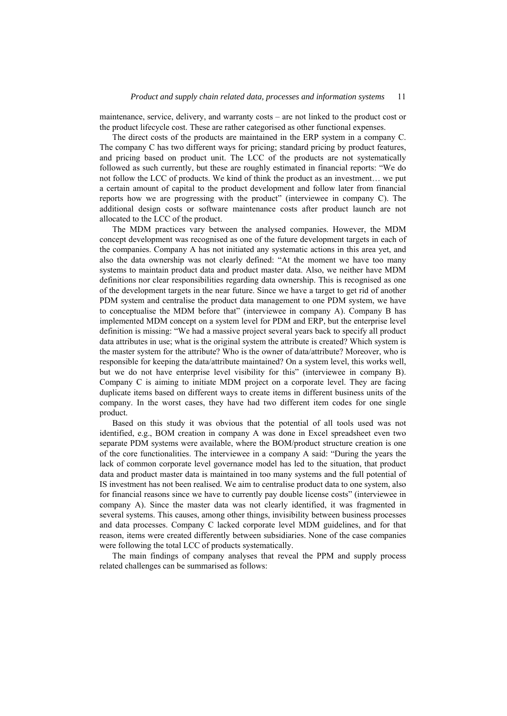maintenance, service, delivery, and warranty costs – are not linked to the product cost or the product lifecycle cost. These are rather categorised as other functional expenses.

The direct costs of the products are maintained in the ERP system in a company C. The company C has two different ways for pricing; standard pricing by product features, and pricing based on product unit. The LCC of the products are not systematically followed as such currently, but these are roughly estimated in financial reports: "We do not follow the LCC of products. We kind of think the product as an investment… we put a certain amount of capital to the product development and follow later from financial reports how we are progressing with the product" (interviewee in company C). The additional design costs or software maintenance costs after product launch are not allocated to the LCC of the product.

The MDM practices vary between the analysed companies. However, the MDM concept development was recognised as one of the future development targets in each of the companies. Company A has not initiated any systematic actions in this area yet, and also the data ownership was not clearly defined: "At the moment we have too many systems to maintain product data and product master data. Also, we neither have MDM definitions nor clear responsibilities regarding data ownership. This is recognised as one of the development targets in the near future. Since we have a target to get rid of another PDM system and centralise the product data management to one PDM system, we have to conceptualise the MDM before that" (interviewee in company A). Company B has implemented MDM concept on a system level for PDM and ERP, but the enterprise level definition is missing: "We had a massive project several years back to specify all product data attributes in use; what is the original system the attribute is created? Which system is the master system for the attribute? Who is the owner of data/attribute? Moreover, who is responsible for keeping the data/attribute maintained? On a system level, this works well, but we do not have enterprise level visibility for this" (interviewee in company B). Company C is aiming to initiate MDM project on a corporate level. They are facing duplicate items based on different ways to create items in different business units of the company. In the worst cases, they have had two different item codes for one single product.

Based on this study it was obvious that the potential of all tools used was not identified, e.g., BOM creation in company A was done in Excel spreadsheet even two separate PDM systems were available, where the BOM/product structure creation is one of the core functionalities. The interviewee in a company A said: "During the years the lack of common corporate level governance model has led to the situation, that product data and product master data is maintained in too many systems and the full potential of IS investment has not been realised. We aim to centralise product data to one system, also for financial reasons since we have to currently pay double license costs" (interviewee in company A). Since the master data was not clearly identified, it was fragmented in several systems. This causes, among other things, invisibility between business processes and data processes. Company C lacked corporate level MDM guidelines, and for that reason, items were created differently between subsidiaries. None of the case companies were following the total LCC of products systematically.

The main findings of company analyses that reveal the PPM and supply process related challenges can be summarised as follows: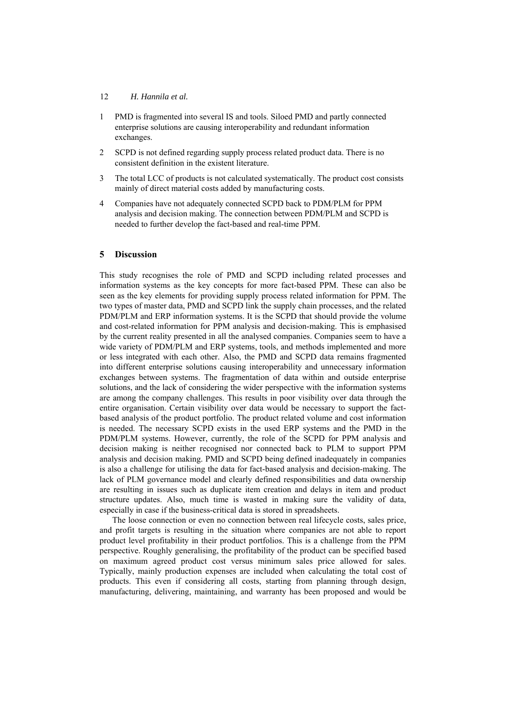## 12 *H. Hannila et al.*

- 1 PMD is fragmented into several IS and tools. Siloed PMD and partly connected enterprise solutions are causing interoperability and redundant information exchanges.
- 2 SCPD is not defined regarding supply process related product data. There is no consistent definition in the existent literature.
- 3 The total LCC of products is not calculated systematically. The product cost consists mainly of direct material costs added by manufacturing costs.
- 4 Companies have not adequately connected SCPD back to PDM/PLM for PPM analysis and decision making. The connection between PDM/PLM and SCPD is needed to further develop the fact-based and real-time PPM.

# **5 Discussion**

This study recognises the role of PMD and SCPD including related processes and information systems as the key concepts for more fact-based PPM. These can also be seen as the key elements for providing supply process related information for PPM. The two types of master data, PMD and SCPD link the supply chain processes, and the related PDM/PLM and ERP information systems. It is the SCPD that should provide the volume and cost-related information for PPM analysis and decision-making. This is emphasised by the current reality presented in all the analysed companies. Companies seem to have a wide variety of PDM/PLM and ERP systems, tools, and methods implemented and more or less integrated with each other. Also, the PMD and SCPD data remains fragmented into different enterprise solutions causing interoperability and unnecessary information exchanges between systems. The fragmentation of data within and outside enterprise solutions, and the lack of considering the wider perspective with the information systems are among the company challenges. This results in poor visibility over data through the entire organisation. Certain visibility over data would be necessary to support the factbased analysis of the product portfolio. The product related volume and cost information is needed. The necessary SCPD exists in the used ERP systems and the PMD in the PDM/PLM systems. However, currently, the role of the SCPD for PPM analysis and decision making is neither recognised nor connected back to PLM to support PPM analysis and decision making. PMD and SCPD being defined inadequately in companies is also a challenge for utilising the data for fact-based analysis and decision-making. The lack of PLM governance model and clearly defined responsibilities and data ownership are resulting in issues such as duplicate item creation and delays in item and product structure updates. Also, much time is wasted in making sure the validity of data, especially in case if the business-critical data is stored in spreadsheets.

The loose connection or even no connection between real lifecycle costs, sales price, and profit targets is resulting in the situation where companies are not able to report product level profitability in their product portfolios. This is a challenge from the PPM perspective. Roughly generalising, the profitability of the product can be specified based on maximum agreed product cost versus minimum sales price allowed for sales. Typically, mainly production expenses are included when calculating the total cost of products. This even if considering all costs, starting from planning through design, manufacturing, delivering, maintaining, and warranty has been proposed and would be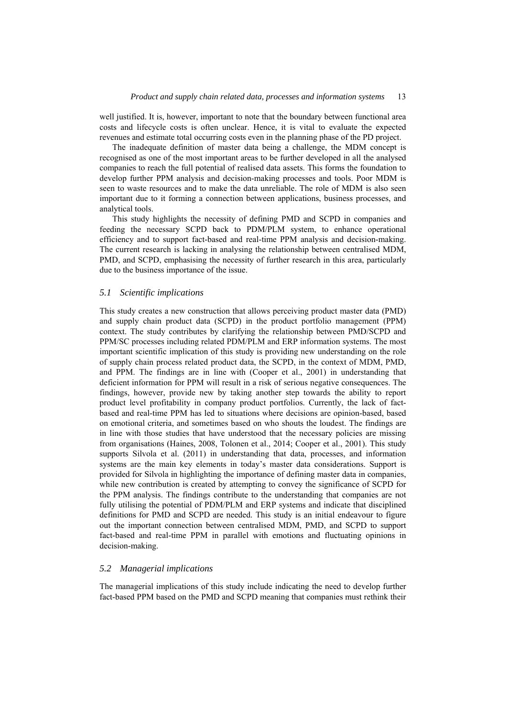well justified. It is, however, important to note that the boundary between functional area costs and lifecycle costs is often unclear. Hence, it is vital to evaluate the expected revenues and estimate total occurring costs even in the planning phase of the PD project.

The inadequate definition of master data being a challenge, the MDM concept is recognised as one of the most important areas to be further developed in all the analysed companies to reach the full potential of realised data assets. This forms the foundation to develop further PPM analysis and decision-making processes and tools. Poor MDM is seen to waste resources and to make the data unreliable. The role of MDM is also seen important due to it forming a connection between applications, business processes, and analytical tools.

This study highlights the necessity of defining PMD and SCPD in companies and feeding the necessary SCPD back to PDM/PLM system, to enhance operational efficiency and to support fact-based and real-time PPM analysis and decision-making. The current research is lacking in analysing the relationship between centralised MDM, PMD, and SCPD, emphasising the necessity of further research in this area, particularly due to the business importance of the issue.

## *5.1 Scientific implications*

This study creates a new construction that allows perceiving product master data (PMD) and supply chain product data (SCPD) in the product portfolio management (PPM) context. The study contributes by clarifying the relationship between PMD/SCPD and PPM/SC processes including related PDM/PLM and ERP information systems. The most important scientific implication of this study is providing new understanding on the role of supply chain process related product data, the SCPD, in the context of MDM, PMD, and PPM. The findings are in line with (Cooper et al., 2001) in understanding that deficient information for PPM will result in a risk of serious negative consequences. The findings, however, provide new by taking another step towards the ability to report product level profitability in company product portfolios. Currently, the lack of factbased and real-time PPM has led to situations where decisions are opinion-based, based on emotional criteria, and sometimes based on who shouts the loudest. The findings are in line with those studies that have understood that the necessary policies are missing from organisations (Haines, 2008, Tolonen et al., 2014; Cooper et al., 2001). This study supports Silvola et al. (2011) in understanding that data, processes, and information systems are the main key elements in today's master data considerations. Support is provided for Silvola in highlighting the importance of defining master data in companies, while new contribution is created by attempting to convey the significance of SCPD for the PPM analysis. The findings contribute to the understanding that companies are not fully utilising the potential of PDM/PLM and ERP systems and indicate that disciplined definitions for PMD and SCPD are needed. This study is an initial endeavour to figure out the important connection between centralised MDM, PMD, and SCPD to support fact-based and real-time PPM in parallel with emotions and fluctuating opinions in decision-making.

#### *5.2 Managerial implications*

The managerial implications of this study include indicating the need to develop further fact-based PPM based on the PMD and SCPD meaning that companies must rethink their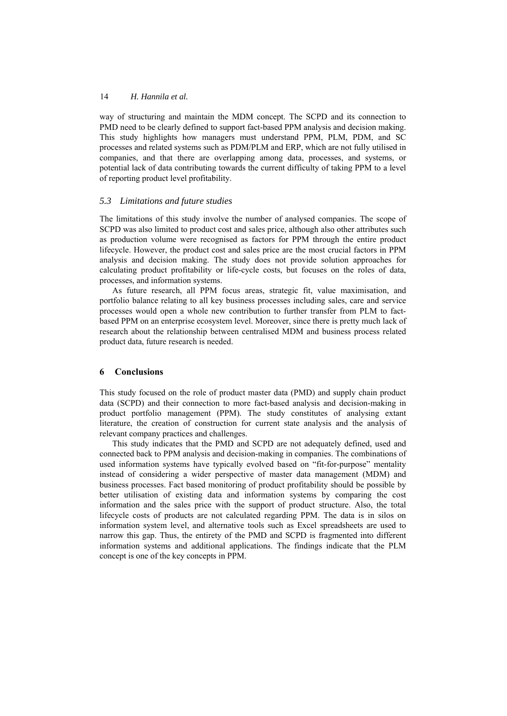way of structuring and maintain the MDM concept. The SCPD and its connection to PMD need to be clearly defined to support fact-based PPM analysis and decision making. This study highlights how managers must understand PPM, PLM, PDM, and SC processes and related systems such as PDM/PLM and ERP, which are not fully utilised in companies, and that there are overlapping among data, processes, and systems, or potential lack of data contributing towards the current difficulty of taking PPM to a level of reporting product level profitability.

# *5.3 Limitations and future studies*

The limitations of this study involve the number of analysed companies. The scope of SCPD was also limited to product cost and sales price, although also other attributes such as production volume were recognised as factors for PPM through the entire product lifecycle. However, the product cost and sales price are the most crucial factors in PPM analysis and decision making. The study does not provide solution approaches for calculating product profitability or life-cycle costs, but focuses on the roles of data, processes, and information systems.

As future research, all PPM focus areas, strategic fit, value maximisation, and portfolio balance relating to all key business processes including sales, care and service processes would open a whole new contribution to further transfer from PLM to factbased PPM on an enterprise ecosystem level. Moreover, since there is pretty much lack of research about the relationship between centralised MDM and business process related product data, future research is needed.

# **6 Conclusions**

This study focused on the role of product master data (PMD) and supply chain product data (SCPD) and their connection to more fact-based analysis and decision-making in product portfolio management (PPM). The study constitutes of analysing extant literature, the creation of construction for current state analysis and the analysis of relevant company practices and challenges.

This study indicates that the PMD and SCPD are not adequately defined, used and connected back to PPM analysis and decision-making in companies. The combinations of used information systems have typically evolved based on "fit-for-purpose" mentality instead of considering a wider perspective of master data management (MDM) and business processes. Fact based monitoring of product profitability should be possible by better utilisation of existing data and information systems by comparing the cost information and the sales price with the support of product structure. Also, the total lifecycle costs of products are not calculated regarding PPM. The data is in silos on information system level, and alternative tools such as Excel spreadsheets are used to narrow this gap. Thus, the entirety of the PMD and SCPD is fragmented into different information systems and additional applications. The findings indicate that the PLM concept is one of the key concepts in PPM.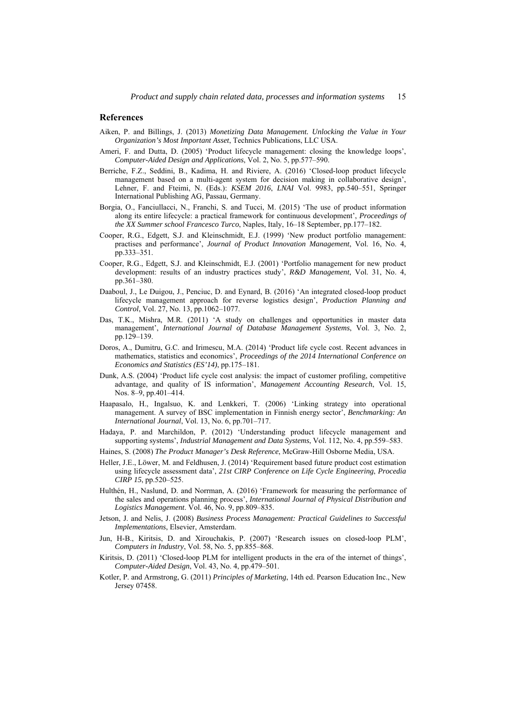### **References**

- Aiken, P. and Billings, J. (2013) *Monetizing Data Management. Unlocking the Value in Your Organization's Most Important Asset*, Technics Publications, LLC USA.
- Ameri, F. and Dutta, D. (2005) 'Product lifecycle management: closing the knowledge loops', *Computer-Aided Design and Applications*, Vol. 2, No. 5, pp.577–590.
- Berriche, F.Z., Seddini, B., Kadima, H. and Riviere, A. (2016) 'Closed-loop product lifecycle management based on a multi-agent system for decision making in collaborative design', Lehner, F. and Fteimi, N. (Eds.): *KSEM 2016*, *LNAI* Vol. 9983, pp.540–551, Springer International Publishing AG, Passau, Germany.
- Borgia, O., Fanciullacci, N., Franchi, S. and Tucci, M. (2015) 'The use of product information along its entire lifecycle: a practical framework for continuous development', *Proceedings of the XX Summer school Francesco Turco*, Naples, Italy, 16–18 September, pp.177–182.
- Cooper, R.G., Edgett, S.J. and Kleinschmidt, E.J. (1999) 'New product portfolio management: practises and performance', *Journal of Product Innovation Management*, Vol. 16, No. 4, pp.333–351.
- Cooper, R.G., Edgett, S.J. and Kleinschmidt, E.J. (2001) 'Portfolio management for new product development: results of an industry practices study', *R&D Management*, Vol. 31, No. 4, pp.361–380.
- Daaboul, J., Le Duigou, J., Penciuc, D. and Eynard, B. (2016) 'An integrated closed-loop product lifecycle management approach for reverse logistics design', *Production Planning and Control*, Vol. 27, No. 13, pp.1062–1077.
- Das, T.K., Mishra, M.R. (2011) 'A study on challenges and opportunities in master data management', *International Journal of Database Management Systems*, Vol. 3, No. 2, pp.129–139.
- Doros, A., Dumitru, G.C. and Irimescu, M.A. (2014) 'Product life cycle cost. Recent advances in mathematics, statistics and economics', *Proceedings of the 2014 International Conference on Economics and Statistics (ES'14)*, pp.175–181.
- Dunk, A.S. (2004) 'Product life cycle cost analysis: the impact of customer profiling, competitive advantage, and quality of IS information', *Management Accounting Research*, Vol. 15, Nos. 8–9, pp.401–414.
- Haapasalo, H., Ingalsuo, K. and Lenkkeri, T. (2006) 'Linking strategy into operational management. A survey of BSC implementation in Finnish energy sector', *Benchmarking: An International Journal*, Vol. 13, No. 6, pp.701–717.
- Hadaya, P. and Marchildon, P. (2012) 'Understanding product lifecycle management and supporting systems', *Industrial Management and Data Systems*, Vol. 112, No. 4, pp.559–583.
- Haines, S. (2008) *The Product Manager's Desk Reference*, McGraw-Hill Osborne Media, USA.
- Heller, J.E., Löwer, M. and Feldhusen, J. (2014) 'Requirement based future product cost estimation using lifecycle assessment data', *21st CIRP Conference on Life Cycle Engineering*, *Procedia CIRP 15*, pp.520–525.
- Hulthén, H., Naslund, D. and Norrman, A. (2016) 'Framework for measuring the performance of the sales and operations planning process', *International Journal of Physical Distribution and Logistics Management*. Vol. 46, No. 9, pp.809–835.
- Jetson, J. and Nelis, J. (2008) *Business Process Management: Practical Guidelines to Successful Implementations*, Elsevier, Amsterdam.
- Jun, H-B., Kiritsis, D. and Xirouchakis, P. (2007) 'Research issues on closed-loop PLM', *Computers in Industry*, Vol. 58, No. 5, pp.855–868.
- Kiritsis, D. (2011) 'Closed-loop PLM for intelligent products in the era of the internet of things', *Computer-Aided Design*, Vol. 43, No. 4, pp.479–501.
- Kotler, P. and Armstrong, G. (2011) *Principles of Marketing*, 14th ed. Pearson Education Inc., New Jersey 07458.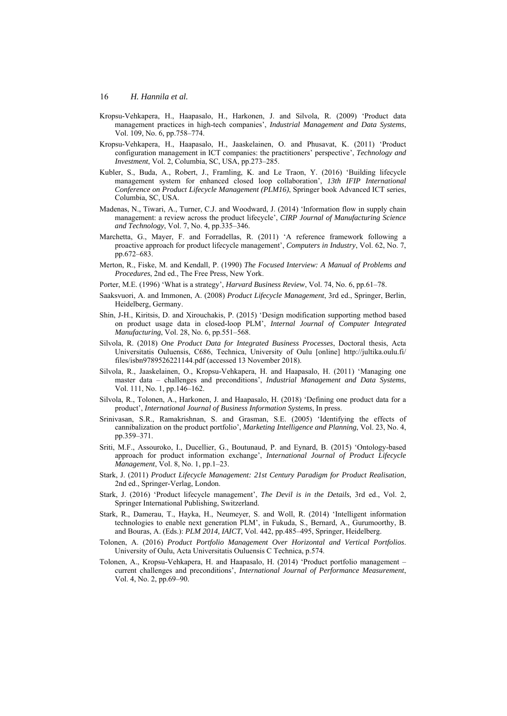- Kropsu-Vehkapera, H., Haapasalo, H., Harkonen, J. and Silvola, R. (2009) 'Product data management practices in high-tech companies', *Industrial Management and Data Systems*, Vol. 109, No. 6, pp.758–774.
- Kropsu-Vehkapera, H., Haapasalo, H., Jaaskelainen, O. and Phusavat, K. (2011) 'Product configuration management in ICT companies: the practitioners' perspective', *Technology and Investment*, Vol. 2, Columbia, SC, USA, pp.273–285.
- Kubler, S., Buda, A., Robert, J., Framling, K. and Le Traon, Y. (2016) 'Building lifecycle management system for enhanced closed loop collaboration', *13th IFIP International Conference on Product Lifecycle Management (PLM16)*, Springer book Advanced ICT series, Columbia, SC, USA.
- Madenas, N., Tiwari, A., Turner, C.J. and Woodward, J. (2014) 'Information flow in supply chain management: a review across the product lifecycle', *CIRP Journal of Manufacturing Science and Technology*, Vol. 7, No. 4, pp.335–346.
- Marchetta, G., Mayer, F. and Forradellas, R. (2011) 'A reference framework following a proactive approach for product lifecycle management', *Computers in Industry*, Vol. 62, No. 7, pp.672–683.
- Merton, R., Fiske, M. and Kendall, P. (1990) *The Focused Interview: A Manual of Problems and Procedures*, 2nd ed., The Free Press, New York.
- Porter, M.E. (1996) 'What is a strategy', *Harvard Business Review*, Vol. 74, No. 6, pp.61–78.
- Saaksvuori, A. and Immonen, A. (2008) *Product Lifecycle Management*, 3rd ed., Springer, Berlin, Heidelberg, Germany.
- Shin, J-H., Kiritsis, D. and Xirouchakis, P. (2015) 'Design modification supporting method based on product usage data in closed-loop PLM', *Internal Journal of Computer Integrated Manufacturing*, Vol. 28, No. 6, pp.551–568.
- Silvola, R. (2018) *One Product Data for Integrated Business Processes*, Doctoral thesis, Acta Universitatis Ouluensis, C686, Technica, University of Oulu [online] http://jultika.oulu.fi/ files/isbn9789526221144.pdf (accessed 13 November 2018).
- Silvola, R., Jaaskelainen, O., Kropsu-Vehkapera, H. and Haapasalo, H. (2011) 'Managing one master data – challenges and preconditions', *Industrial Management and Data Systems*, Vol. 111, No. 1, pp.146–162.
- Silvola, R., Tolonen, A., Harkonen, J. and Haapasalo, H. (2018) 'Defining one product data for a product', *International Journal of Business Information Systems*, In press.
- Srinivasan, S.R., Ramakrishnan, S. and Grasman, S.E. (2005) 'Identifying the effects of cannibalization on the product portfolio', *Marketing Intelligence and Planning*, Vol. 23, No. 4, pp.359–371.
- Sriti, M.F., Assouroko, I., Ducellier, G., Boutunaud, P. and Eynard, B. (2015) 'Ontology-based approach for product information exchange', *International Journal of Product Lifecycle Management*, Vol. 8, No. 1, pp.1–23.
- Stark, J. (2011) *Product Lifecycle Management: 21st Century Paradigm for Product Realisation*, 2nd ed., Springer-Verlag, London.
- Stark, J. (2016) 'Product lifecycle management', *The Devil is in the Details*, 3rd ed., Vol. 2, Springer International Publishing, Switzerland.
- Stark, R., Damerau, T., Hayka, H., Neumeyer, S. and Woll, R. (2014) 'Intelligent information technologies to enable next generation PLM', in Fukuda, S., Bernard, A., Gurumoorthy, B. and Bouras, A. (Eds.): *PLM 2014, IAICT*, Vol. 442, pp.485–495, Springer, Heidelberg.
- Tolonen, A. (2016) *Product Portfolio Management Over Horizontal and Vertical Portfolios*. University of Oulu, Acta Universitatis Ouluensis C Technica, p.574.
- Tolonen, A., Kropsu-Vehkapera, H. and Haapasalo, H. (2014) 'Product portfolio management current challenges and preconditions', *International Journal of Performance Measurement*, Vol. 4, No. 2, pp.69–90.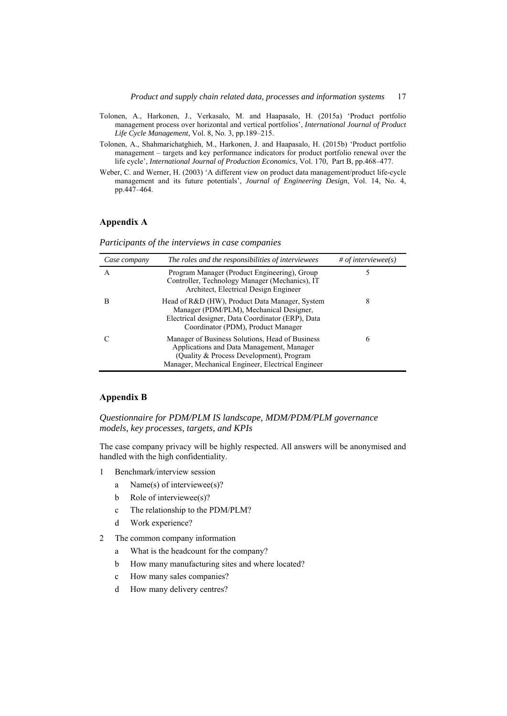- Tolonen, A., Harkonen, J., Verkasalo, M. and Haapasalo, H. (2015a) 'Product portfolio management process over horizontal and vertical portfolios', *International Journal of Product Life Cycle Management*, Vol. 8, No. 3, pp.189–215.
- Tolonen, A., Shahmarichatghieh, M., Harkonen, J. and Haapasalo, H. (2015b) 'Product portfolio management – targets and key performance indicators for product portfolio renewal over the life cycle', *International Journal of Production Economics*, Vol. 170, Part B, pp.468–477.
- Weber, C. and Werner, H. (2003) 'A different view on product data management/product life-cycle management and its future potentials', *Journal of Engineering Design*, Vol. 14, No. 4, pp.447–464.

# **Appendix A**

| Case company | The roles and the responsibilities of interviewees                                                                                                                                            | # of interviewee(s) |
|--------------|-----------------------------------------------------------------------------------------------------------------------------------------------------------------------------------------------|---------------------|
| A            | Program Manager (Product Engineering), Group<br>Controller, Technology Manager (Mechanics), IT<br>Architect, Electrical Design Engineer                                                       | C                   |
| B            | Head of R&D (HW), Product Data Manager, System<br>Manager (PDM/PLM), Mechanical Designer,<br>Electrical designer, Data Coordinator (ERP), Data<br>Coordinator (PDM), Product Manager          | 8                   |
|              | Manager of Business Solutions, Head of Business<br>Applications and Data Management, Manager<br>(Quality & Process Development), Program<br>Manager, Mechanical Engineer, Electrical Engineer | 6                   |

*Participants of the interviews in case companies* 

# **Appendix B**

# *Questionnaire for PDM/PLM IS landscape, MDM/PDM/PLM governance models, key processes, targets, and KPIs*

The case company privacy will be highly respected. All answers will be anonymised and handled with the high confidentiality.

- 1 Benchmark/interview session
	- a Name(s) of interviewee(s)?
	- b Role of interviewee(s)?
	- c The relationship to the PDM/PLM?
	- d Work experience?
- 2 The common company information
	- a What is the headcount for the company?
	- b How many manufacturing sites and where located?
	- c How many sales companies?
	- d How many delivery centres?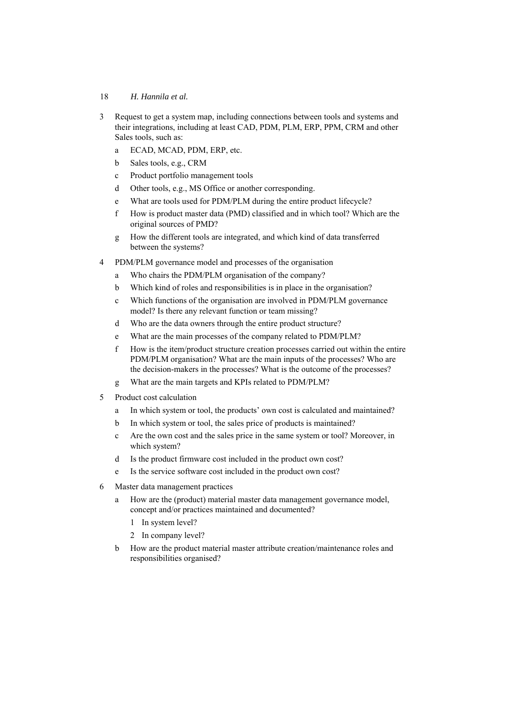## 18 *H. Hannila et al.*

- 3 Request to get a system map, including connections between tools and systems and their integrations, including at least CAD, PDM, PLM, ERP, PPM, CRM and other Sales tools, such as:
	- a ECAD, MCAD, PDM, ERP, etc.
	- b Sales tools, e.g., CRM
	- c Product portfolio management tools
	- d Other tools, e.g., MS Office or another corresponding.
	- e What are tools used for PDM/PLM during the entire product lifecycle?
	- f How is product master data (PMD) classified and in which tool? Which are the original sources of PMD?
	- g How the different tools are integrated, and which kind of data transferred between the systems?
- 4 PDM/PLM governance model and processes of the organisation
	- a Who chairs the PDM/PLM organisation of the company?
	- b Which kind of roles and responsibilities is in place in the organisation?
	- c Which functions of the organisation are involved in PDM/PLM governance model? Is there any relevant function or team missing?
	- d Who are the data owners through the entire product structure?
	- e What are the main processes of the company related to PDM/PLM?
	- f How is the item/product structure creation processes carried out within the entire PDM/PLM organisation? What are the main inputs of the processes? Who are the decision-makers in the processes? What is the outcome of the processes?
	- g What are the main targets and KPIs related to PDM/PLM?
- 5 Product cost calculation
	- a In which system or tool, the products' own cost is calculated and maintained?
	- b In which system or tool, the sales price of products is maintained?
	- c Are the own cost and the sales price in the same system or tool? Moreover, in which system?
	- d Is the product firmware cost included in the product own cost?
	- e Is the service software cost included in the product own cost?
- 6 Master data management practices
	- a How are the (product) material master data management governance model, concept and/or practices maintained and documented?
		- 1 In system level?
		- 2 In company level?
	- b How are the product material master attribute creation/maintenance roles and responsibilities organised?